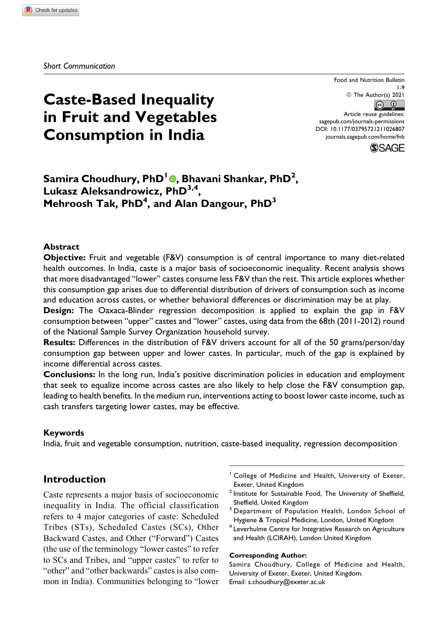# **Caste-Based Inequality in Fruit and Vegetables Consumption in India**

Food and Nutrition Bulletin 1-9 © The Author(s) 2021  $\circ$   $\circ$ Article reuse guidelines: [sagepub.com/journals-permissions](https://sagepub.com/journals-permissions) [DOI: 10.1177/03795721211026807](https://doi.org/10.1177/03795721211026807) [journals.sagepub.com/home/fnb](http://journals.sagepub.com/home/fnb)



# **Samira Choudhury, PhD1 , Bhavani Shankar, PhD2 , Lukasz Aleksandrowicz, PhD3,4, Mehroosh Tak, PhD4 , and Alan Dangour, PhD3**

#### **Abstract**

**Objective:** Fruit and vegetable (F&V) consumption is of central importance to many diet-related health outcomes. In India, caste is a major basis of socioeconomic inequality. Recent analysis shows that more disadvantaged "lower" castes consume less F&V than the rest. This article explores whether this consumption gap arises due to differential distribution of drivers of consumption such as income and education across castes, or whether behavioral differences or discrimination may be at play.

**Design:** The Oaxaca-Blinder regression decomposition is applied to explain the gap in F&V consumption between "upper" castes and "lower" castes, using data from the 68th (2011-2012) round of the National Sample Survey Organization household survey.

**Results:** Differences in the distribution of F&V drivers account for all of the 50 grams/person/day consumption gap between upper and lower castes. In particular, much of the gap is explained by income differential across castes.

**Conclusions:** In the long run, India's positive discrimination policies in education and employment that seek to equalize income across castes are also likely to help close the F&V consumption gap, leading to health benefits. In the medium run, interventions acting to boost lower caste income, such as cash transfers targeting lower castes, may be effective.

#### **Keywords**

India, fruit and vegetable consumption, nutrition, caste-based inequality, regression decomposition

# **Introduction**

Caste represents a major basis of socioeconomic inequality in India. The official classification refers to 4 major categories of caste: Scheduled Tribes (STs), Scheduled Castes (SCs), Other Backward Castes, and Other ("Forward") Castes (the use of the terminology "lower castes" to refer to SCs and Tribes, and "upper castes" to refer to "other" and "other backwards" castes is also common in India). Communities belonging to "lower

- <sup>1</sup> College of Medicine and Health, University of Exeter, Exeter, United Kingdom
- <sup>2</sup> Institute for Sustainable Food, The University of Sheffield, Sheffield, United Kingdom
- <sup>3</sup> Department of Population Health, London School of Hygiene & Tropical Medicine, London, United Kingdom
- <sup>4</sup> Leverhulme Centre for Integrative Research on Agriculture and Health (LCIRAH), London United Kingdom

#### **Corresponding Author:**

Samira Choudhury, College of Medicine and Health, University of Exeter, Exeter, United Kingdom. Email: [s.choudhury@exeter.ac.uk](mailto:s.choudhury@exeter.ac.uk)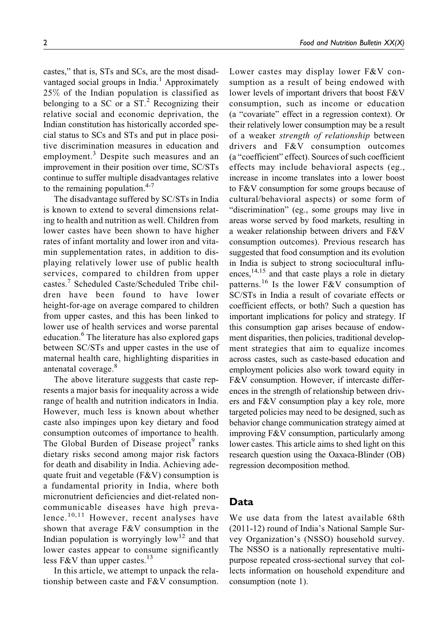castes," that is, STs and SCs, are the most disadvantaged social groups in India.<sup>1</sup> Approximately 25% of the Indian population is classified as belonging to a SC or a  $ST<sup>2</sup>$  Recognizing their relative social and economic deprivation, the Indian constitution has historically accorded special status to SCs and STs and put in place positive discrimination measures in education and employment.<sup>3</sup> Despite such measures and an improvement in their position over time, SC/STs continue to suffer multiple disadvantages relative to the remaining population. $4-7$ 

The disadvantage suffered by SC/STs in India is known to extend to several dimensions relating to health and nutrition as well. Children from lower castes have been shown to have higher rates of infant mortality and lower iron and vitamin supplementation rates, in addition to displaying relatively lower use of public health services, compared to children from upper castes.<sup>7</sup> Scheduled Caste/Scheduled Tribe children have been found to have lower height-for-age on average compared to children from upper castes, and this has been linked to lower use of health services and worse parental education.<sup>6</sup> The literature has also explored gaps between SC/STs and upper castes in the use of maternal health care, highlighting disparities in antenatal coverage.<sup>8</sup>

The above literature suggests that caste represents a major basis for inequality across a wide range of health and nutrition indicators in India. However, much less is known about whether caste also impinges upon key dietary and food consumption outcomes of importance to health. The Global Burden of Disease project<sup>9</sup> ranks dietary risks second among major risk factors for death and disability in India. Achieving adequate fruit and vegetable (F&V) consumption is a fundamental priority in India, where both micronutrient deficiencies and diet-related noncommunicable diseases have high prevalence. $10,11$  However, recent analyses have shown that average F&V consumption in the Indian population is worryingly  $low<sup>12</sup>$  and that lower castes appear to consume significantly less F&V than upper castes.<sup>13</sup>

In this article, we attempt to unpack the relationship between caste and F&V consumption. Lower castes may display lower F&V consumption as a result of being endowed with lower levels of important drivers that boost F&V consumption, such as income or education (a "covariate" effect in a regression context). Or their relatively lower consumption may be a result of a weaker strength of relationship between drivers and F&V consumption outcomes (a "coefficient" effect). Sources of such coefficient effects may include behavioral aspects (eg., increase in income translates into a lower boost to F&V consumption for some groups because of cultural/behavioral aspects) or some form of "discrimination" (eg., some groups may live in areas worse served by food markets, resulting in a weaker relationship between drivers and F&V consumption outcomes). Previous research has suggested that food consumption and its evolution in India is subject to strong sociocultural influences,<sup>14,15</sup> and that caste plays a role in dietary patterns.<sup>16</sup> Is the lower F&V consumption of SC/STs in India a result of covariate effects or coefficient effects, or both? Such a question has important implications for policy and strategy. If this consumption gap arises because of endowment disparities, then policies, traditional development strategies that aim to equalize incomes across castes, such as caste-based education and employment policies also work toward equity in F&V consumption. However, if intercaste differences in the strength of relationship between drivers and F&V consumption play a key role, more targeted policies may need to be designed, such as behavior change communication strategy aimed at improving F&V consumption, particularly among lower castes. This article aims to shed light on this research question using the Oaxaca-Blinder (OB) regression decomposition method.

# **Data**

We use data from the latest available 68th (2011-12) round of India's National Sample Survey Organization's (NSSO) household survey. The NSSO is a nationally representative multipurpose repeated cross-sectional survey that collects information on household expenditure and consumption (note 1).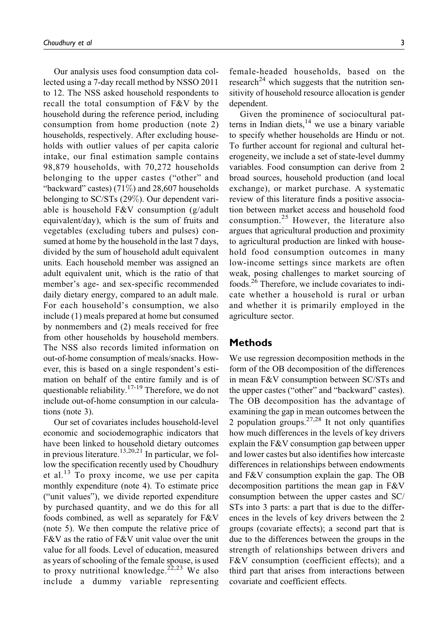Our analysis uses food consumption data collected using a 7-day recall method by NSSO 2011 to 12. The NSS asked household respondents to recall the total consumption of F&V by the household during the reference period, including consumption from home production (note 2) households, respectively. After excluding households with outlier values of per capita calorie intake, our final estimation sample contains 98,879 households, with 70,272 households belonging to the upper castes ("other" and "backward" castes)  $(71\%)$  and 28,607 households belonging to SC/STs (29%). Our dependent variable is household F&V consumption (g/adult equivalent/day), which is the sum of fruits and vegetables (excluding tubers and pulses) consumed at home by the household in the last 7 days, divided by the sum of household adult equivalent units. Each household member was assigned an adult equivalent unit, which is the ratio of that member's age- and sex-specific recommended daily dietary energy, compared to an adult male. For each household's consumption, we also include (1) meals prepared at home but consumed by nonmembers and (2) meals received for free from other households by household members. The NSS also records limited information on out-of-home consumption of meals/snacks. However, this is based on a single respondent's estimation on behalf of the entire family and is of questionable reliability.<sup>17-19</sup> Therefore, we do not include out-of-home consumption in our calculations (note 3).

Our set of covariates includes household-level economic and sociodemographic indicators that have been linked to household dietary outcomes in previous literature.<sup>13,20,21</sup> In particular, we follow the specification recently used by Choudhury et al. $^{13}$  To proxy income, we use per capita monthly expenditure (note 4). To estimate price ("unit values"), we divide reported expenditure by purchased quantity, and we do this for all foods combined, as well as separately for F&V (note 5). We then compute the relative price of F&V as the ratio of F&V unit value over the unit value for all foods. Level of education, measured as years of schooling of the female spouse, is used to proxy nutritional knowledge.<sup>22,23</sup> We also include a dummy variable representing

female-headed households, based on the research<sup>24</sup> which suggests that the nutrition sensitivity of household resource allocation is gender dependent.

Given the prominence of sociocultural patterns in Indian diets, $14$  we use a binary variable to specify whether households are Hindu or not. To further account for regional and cultural heterogeneity, we include a set of state-level dummy variables. Food consumption can derive from 2 broad sources, household production (and local exchange), or market purchase. A systematic review of this literature finds a positive association between market access and household food consumption.<sup>25</sup> However, the literature also argues that agricultural production and proximity to agricultural production are linked with household food consumption outcomes in many low-income settings since markets are often weak, posing challenges to market sourcing of foods.<sup>26</sup> Therefore, we include covariates to indicate whether a household is rural or urban and whether it is primarily employed in the agriculture sector.

# **Methods**

We use regression decomposition methods in the form of the OB decomposition of the differences in mean F&V consumption between SC/STs and the upper castes ("other" and "backward" castes). The OB decomposition has the advantage of examining the gap in mean outcomes between the 2 population groups. $27,28$  It not only quantifies how much differences in the levels of key drivers explain the F&V consumption gap between upper and lower castes but also identifies how intercaste differences in relationships between endowments and F&V consumption explain the gap. The OB decomposition partitions the mean gap in F&V consumption between the upper castes and SC/ STs into 3 parts: a part that is due to the differences in the levels of key drivers between the 2 groups (covariate effects); a second part that is due to the differences between the groups in the strength of relationships between drivers and F&V consumption (coefficient effects); and a third part that arises from interactions between covariate and coefficient effects.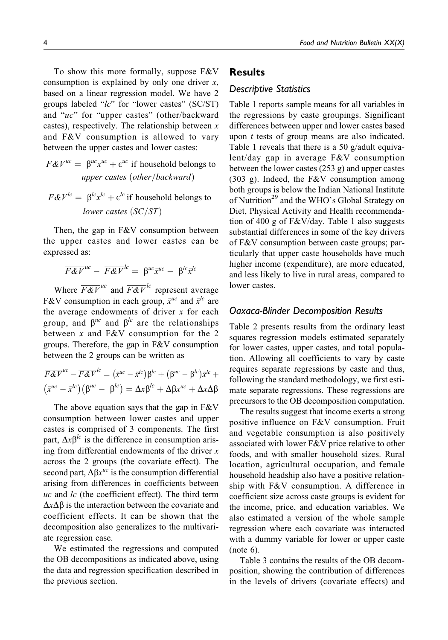To show this more formally, suppose  $F\&V$ consumption is explained by only one driver  $x$ , based on a linear regression model. We have 2 groups labeled " $lc$ " for "lower castes" (SC/ST) and "uc" for "upper castes" (other/backward castes), respectively. The relationship between  $x$ and F&V consumption is allowed to vary between the upper castes and lower castes:

$$
F\&V^{uc} = \beta^{uc}x^{uc} + \epsilon^{uc}
$$
 if household belongs to  
upper cases (other/backward)

 $F \& V^{lc} = \beta^{lc} x^{lc} + \epsilon^{lc}$  if household belongs to lower castes  $(SC/ST)$ 

Then, the gap in F&V consumption between the upper castes and lower castes can be expressed as:

$$
\overline{F\&V}^{uc} - \overline{F\&V}^{lc} = \beta^{uc}\overline{x}^{uc} - \beta^{lc}\overline{x}^{lc}
$$

Where  $\overline{F\&V}^{uc}$  and  $\overline{F\&V}^{lc}$  represent average F&V consumption in each group,  $\bar{x}^{\mu c}$  and  $\bar{x}^{\mu c}$  are the average endowments of driver  $x$  for each group, and  $\beta^{uc}$  and  $\beta^{lc}$  are the relationships between  $x$  and F&V consumption for the 2 groups. Therefore, the gap in F&V consumption between the 2 groups can be written as

$$
\overline{F\&F}^{uc} - \overline{F\&F}^{lc} = (\overline{x}^{uc} - \overline{x}^{lc})\beta^{lc} + (\beta^{uc} - \beta^{lc})\overline{x}^{lc} + (\overline{x}^{uc} - \overline{x}^{lc})(\beta^{uc} - \beta^{lc}) = \Delta x \beta^{lc} + \Delta \beta x^{uc} + \Delta x \Delta \beta
$$

The above equation says that the gap in  $F&V$ consumption between lower castes and upper castes is comprised of 3 components. The first part,  $\Delta x \beta^{lc}$  is the difference in consumption arising from differential endowments of the driver  $x$ across the 2 groups (the covariate effect). The second part,  $\Delta \beta x^{uc}$  is the consumption differential arising from differences in coefficients between  $uc$  and  $lc$  (the coefficient effect). The third term  $\Delta x \Delta \beta$  is the interaction between the covariate and coefficient effects. It can be shown that the decomposition also generalizes to the multivariate regression case.

We estimated the regressions and computed the OB decompositions as indicated above, using the data and regression specification described in the previous section.

# **Results**

### *Descriptive Statistics*

Table 1 reports sample means for all variables in the regressions by caste groupings. Significant differences between upper and lower castes based upon t tests of group means are also indicated. Table 1 reveals that there is a 50 g/adult equivalent/day gap in average F&V consumption between the lower castes (253 g) and upper castes (303 g). Indeed, the F&V consumption among both groups is below the Indian National Institute of Nutrition<sup>29</sup> and the WHO's Global Strategy on Diet, Physical Activity and Health recommendation of 400 g of F&V/day. Table 1 also suggests substantial differences in some of the key drivers of F&V consumption between caste groups; particularly that upper caste households have much higher income (expenditure), are more educated, and less likely to live in rural areas, compared to lower castes.

#### *Oaxaca-Blinder Decomposition Results*

Table 2 presents results from the ordinary least squares regression models estimated separately for lower castes, upper castes, and total population. Allowing all coefficients to vary by caste requires separate regressions by caste and thus, following the standard methodology, we first estimate separate regressions. These regressions are precursors to the OB decomposition computation.

The results suggest that income exerts a strong positive influence on F&V consumption. Fruit and vegetable consumption is also positively associated with lower F&V price relative to other foods, and with smaller household sizes. Rural location, agricultural occupation, and female household headship also have a positive relationship with F&V consumption. A difference in coefficient size across caste groups is evident for the income, price, and education variables. We also estimated a version of the whole sample regression where each covariate was interacted with a dummy variable for lower or upper caste (note 6).

Table 3 contains the results of the OB decomposition, showing the contribution of differences in the levels of drivers (covariate effects) and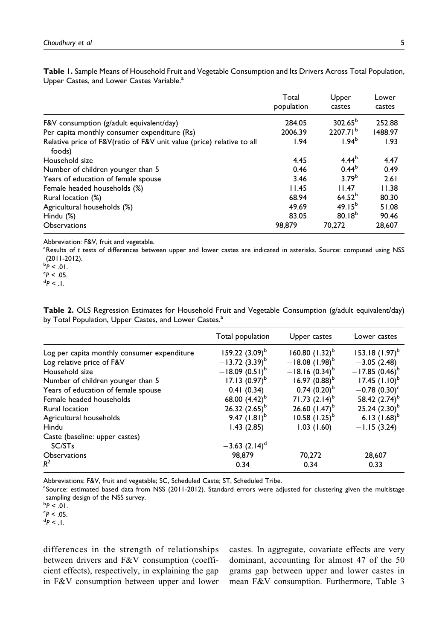| Opper Castes, and Lower Castes variable.                                        |                     |                      |                 |  |  |  |  |  |
|---------------------------------------------------------------------------------|---------------------|----------------------|-----------------|--|--|--|--|--|
|                                                                                 | Total<br>population | Upper<br>castes      | Lower<br>castes |  |  |  |  |  |
| F&V consumption ( $g$ /adult equivalent/day)                                    | 284.05              | $302.65^{\circ}$     | 252.88          |  |  |  |  |  |
| Per capita monthly consumer expenditure (Rs)                                    | 2006.39             | 2207.71 <sup>b</sup> | 1488.97         |  |  |  |  |  |
| Relative price of F&V(ratio of F&V unit value (price) relative to all<br>foods) | 1.94                | 1.94 <sup>b</sup>    | 1.93            |  |  |  |  |  |
| Household size                                                                  | 4.45                | $4.44^{b}$           | 4.47            |  |  |  |  |  |
| Number of children younger than 5                                               | 0.46                | $0.44^{b}$           | 0.49            |  |  |  |  |  |
| Years of education of female spouse                                             | 3.46                | 3.79 <sup>b</sup>    | 2.61            |  |  |  |  |  |
| Female headed households (%)                                                    | 11.45               | 11.47                | 11.38           |  |  |  |  |  |
| Rural location (%)                                                              | 68.94               | $64.52^{b}$          | 80.30           |  |  |  |  |  |
| Agricultural households (%)                                                     | 49.69               | $49.15^{b}$          | 51.08           |  |  |  |  |  |

**Table 1.** Sample Means of Household Fruit and Vegetable Consumption and Its Drivers Across Total Population, Upper Castes, and Lower Castes Variable<sup>a</sup>

Abbreviation: F&V, fruit and vegetable.

<sup>a</sup>Results of *t* tests of differences between upper and lower castes are indicated in asterisks. Source: computed using NSS (2011-2012).

Agricultural households  $\%$  and the set of the set of the set of the 49.69 and 49.15b 51.08 and 51.08 and 51.08 and 51.08 and 51.08 and 51.08 and 51.08 and 51.08 and 51.08 and 51.08 and 51.08 and 51.08 and 51.08 and 51.0 Hindu (%) 83.05 80.18<sup>b</sup> 90.46 Observations 98,879 70,272 28,607

**Table 2.** OLS Regression Estimates for Household Fruit and Vegetable Consumption (g/adult equivalent/day) by Total Population, Upper Castes, and Lower Castes.<sup>a</sup>

|                                             | Total population   | Upper castes          | Lower castes              |
|---------------------------------------------|--------------------|-----------------------|---------------------------|
| Log per capita monthly consumer expenditure | 159.22 $(3.09)^b$  | $160.80$ $(1.32)^{b}$ | 153.18 $(1.97)^{b}$       |
| Log relative price of F&V                   | $-13.72(3.39)^{b}$ | $-18.08$ $(1.98)^{b}$ | $-3.05(2.48)$             |
| Household size                              | $-18.09(0.51)^{b}$ | $-18.16(0.34)^{b}$    | $-17.85(0.46)^{b}$        |
| Number of children younger than 5           | 17.13 $(0.97)^{b}$ | 16.97 $(0.88)^{b}$    | $17.45$ $(1.10)^{b}$      |
| Years of education of female spouse         | 0.41(0.34)         | $0.74~(0.20)^{b}$     | $-0.78(0.30)^c$           |
| Female headed households                    | 68.00 $(4.42)^{b}$ | 71.73 $(2.14)^{b}$    | 58.42 (2.74) <sup>b</sup> |
| Rural location                              | 26.32 $(2.65)^b$   | 26.60 $(1.47)^b$      | $25.24$ $(2.30)^{b}$      |
| Agricultural households                     | 9.47 $(1.81)^{6}$  | $10.58$ $(1.25)^{b}$  | 6.13 $(1.68)^{6}$         |
| Hindu                                       | 1.43(2.85)         | 1.03(1.60)            | $-1.15(3.24)$             |
| Caste (baseline: upper castes)              |                    |                       |                           |
| SC/ST <sub>s</sub>                          | $-3.63$ $(2.14)^d$ |                       |                           |
| <b>Observations</b>                         | 98,879             | 70,272                | 28,607                    |
| $R^2$                                       | 0.34               | 0.34                  | 0.33                      |

Abbreviations: F&V, fruit and vegetable; SC, Scheduled Caste; ST, Scheduled Tribe.

<sup>a</sup>Source: estimated based data from NSS (2011-2012). Standard errors were adjusted for clustering given the multistage sampling design of the NSS survey.

<sup>b</sup>P < .01.<br><sup>c</sup>P < .05

 $P < 0.05$ .  $^dP < 1$ .

differences in the strength of relationships between drivers and F&V consumption (coefficient effects), respectively, in explaining the gap in F&V consumption between upper and lower castes. In aggregate, covariate effects are very dominant, accounting for almost 47 of the 50 grams gap between upper and lower castes in mean F&V consumption. Furthermore, Table 3

<sup>&</sup>lt;sup>b</sup>P < .01.<br><sup>c</sup>P < .05.

*<sup>P</sup>* < .05. <sup>d</sup> *P* < .1.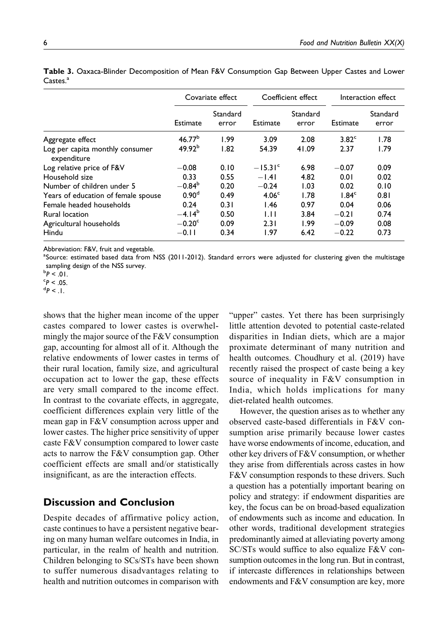|                                                | Covariate effect   |                   | Coefficient effect |                   | Interaction effect |                   |
|------------------------------------------------|--------------------|-------------------|--------------------|-------------------|--------------------|-------------------|
|                                                | Estimate           | Standard<br>error | Estimate           | Standard<br>error | Estimate           | Standard<br>error |
| Aggregate effect                               | 46.77 <sup>b</sup> | 1.99              | 3.09               | 2.08              | 3.82 <sup>c</sup>  | 1.78              |
| Log per capita monthly consumer<br>expenditure | 49.92 <sup>b</sup> | 1.82              | 54.39              | 41.09             | 2.37               | 1.79              |
| Log relative price of F&V                      | $-0.08$            | 0.10              | $-15.31c$          | 6.98              | $-0.07$            | 0.09              |
| Household size                                 | 0.33               | 0.55              | $-1.41$            | 4.82              | 0.01               | 0.02              |
| Number of children under 5                     | $-0.84^b$          | 0.20              | $-0.24$            | 1.03              | 0.02               | 0.10              |
| Years of education of female spouse            | 0.90 <sup>d</sup>  | 0.49              | 4.06 <sup>c</sup>  | 1.78              | 1.84 <sup>c</sup>  | 0.81              |
| Female headed households                       | 0.24               | 0.31              | 1.46               | 0.97              | 0.04               | 0.06              |
| Rural location                                 | $-4.14^{b}$        | 0.50              | 1.11               | 3.84              | $-0.21$            | 0.74              |
| Agricultural households                        | $-0.20c$           | 0.09              | 2.31               | 1.99              | $-0.09$            | 0.08              |
| Hindu                                          | $-0.11$            | 0.34              | 1.97               | 6.42              | $-0.22$            | 0.73              |

**Table 3.** Oaxaca-Blinder Decomposition of Mean F&V Consumption Gap Between Upper Castes and Lower Castes.<sup>a</sup>

Abbreviation: F&V, fruit and vegetable.

<sup>a</sup>Source: estimated based data from NSS (2011-2012). Standard errors were adjusted for clustering given the multistage sampling design of the NSS survey.

shows that the higher mean income of the upper castes compared to lower castes is overwhelmingly the major source of the F&V consumption gap, accounting for almost all of it. Although the relative endowments of lower castes in terms of their rural location, family size, and agricultural occupation act to lower the gap, these effects are very small compared to the income effect. In contrast to the covariate effects, in aggregate, coefficient differences explain very little of the mean gap in F&V consumption across upper and lower castes. The higher price sensitivity of upper caste F&V consumption compared to lower caste acts to narrow the F&V consumption gap. Other coefficient effects are small and/or statistically insignificant, as are the interaction effects.

# **Discussion and Conclusion**

Despite decades of affirmative policy action, caste continues to have a persistent negative bearing on many human welfare outcomes in India, in particular, in the realm of health and nutrition. Children belonging to SCs/STs have been shown to suffer numerous disadvantages relating to health and nutrition outcomes in comparison with "upper" castes. Yet there has been surprisingly little attention devoted to potential caste-related disparities in Indian diets, which are a major proximate determinant of many nutrition and health outcomes. Choudhury et al. (2019) have recently raised the prospect of caste being a key source of inequality in F&V consumption in India, which holds implications for many diet-related health outcomes.

However, the question arises as to whether any observed caste-based differentials in F&V consumption arise primarily because lower castes have worse endowments of income, education, and other key drivers of F&V consumption, or whether they arise from differentials across castes in how F&V consumption responds to these drivers. Such a question has a potentially important bearing on policy and strategy: if endowment disparities are key, the focus can be on broad-based equalization of endowments such as income and education. In other words, traditional development strategies predominantly aimed at alleviating poverty among SC/STs would suffice to also equalize F&V consumption outcomes in the long run. But in contrast, if intercaste differences in relationships between endowments and F&V consumption are key, more

<sup>&</sup>lt;sup>b</sup>P < .01.<br><sup>c</sup>P < .05

 $P < 0.05$ .

 $^{\text{d}}P < 1$ .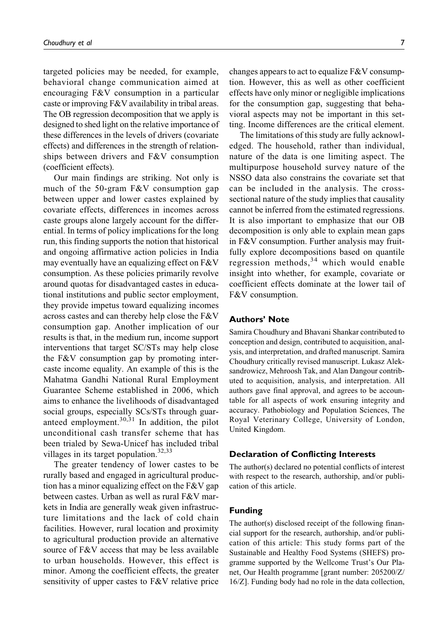targeted policies may be needed, for example, behavioral change communication aimed at encouraging F&V consumption in a particular caste or improving F&V availability in tribal areas. The OB regression decomposition that we apply is designed to shed light on the relative importance of these differences in the levels of drivers (covariate effects) and differences in the strength of relationships between drivers and F&V consumption (coefficient effects).

Our main findings are striking. Not only is much of the 50-gram F&V consumption gap between upper and lower castes explained by covariate effects, differences in incomes across caste groups alone largely account for the differential. In terms of policy implications for the long run, this finding supports the notion that historical and ongoing affirmative action policies in India may eventually have an equalizing effect on F&V consumption. As these policies primarily revolve around quotas for disadvantaged castes in educational institutions and public sector employment, they provide impetus toward equalizing incomes across castes and can thereby help close the F&V consumption gap. Another implication of our results is that, in the medium run, income support interventions that target SC/STs may help close the F&V consumption gap by promoting intercaste income equality. An example of this is the Mahatma Gandhi National Rural Employment Guarantee Scheme established in 2006, which aims to enhance the livelihoods of disadvantaged social groups, especially SCs/STs through guaranteed employment.30,31 In addition, the pilot unconditional cash transfer scheme that has been trialed by Sewa-Unicef has included tribal villages in its target population. $32,33$ 

The greater tendency of lower castes to be rurally based and engaged in agricultural production has a minor equalizing effect on the  $F&V$  gap between castes. Urban as well as rural F&V markets in India are generally weak given infrastructure limitations and the lack of cold chain facilities. However, rural location and proximity to agricultural production provide an alternative source of F&V access that may be less available to urban households. However, this effect is minor. Among the coefficient effects, the greater sensitivity of upper castes to F&V relative price changes appears to act to equalize F&V consumption. However, this as well as other coefficient effects have only minor or negligible implications for the consumption gap, suggesting that behavioral aspects may not be important in this setting. Income differences are the critical element.

The limitations of this study are fully acknowledged. The household, rather than individual, nature of the data is one limiting aspect. The multipurpose household survey nature of the NSSO data also constrains the covariate set that can be included in the analysis. The crosssectional nature of the study implies that causality cannot be inferred from the estimated regressions. It is also important to emphasize that our OB decomposition is only able to explain mean gaps in F&V consumption. Further analysis may fruitfully explore decompositions based on quantile regression methods,  $34$  which would enable insight into whether, for example, covariate or coefficient effects dominate at the lower tail of F&V consumption.

#### **Authors' Note**

Samira Choudhury and Bhavani Shankar contributed to conception and design, contributed to acquisition, analysis, and interpretation, and drafted manuscript. Samira Choudhury critically revised manuscript. Lukasz Aleksandrowicz, Mehroosh Tak, and Alan Dangour contributed to acquisition, analysis, and interpretation. All authors gave final approval, and agrees to be accountable for all aspects of work ensuring integrity and accuracy. Pathobiology and Population Sciences, The Royal Veterinary College, University of London, United Kingdom.

#### **Declaration of Conflicting Interests**

The author(s) declared no potential conflicts of interest with respect to the research, authorship, and/or publication of this article.

### **Funding**

The author(s) disclosed receipt of the following financial support for the research, authorship, and/or publication of this article: This study forms part of the Sustainable and Healthy Food Systems (SHEFS) programme supported by the Wellcome Trust's Our Planet, Our Health programme [grant number: 205200/Z/ 16/Z]. Funding body had no role in the data collection,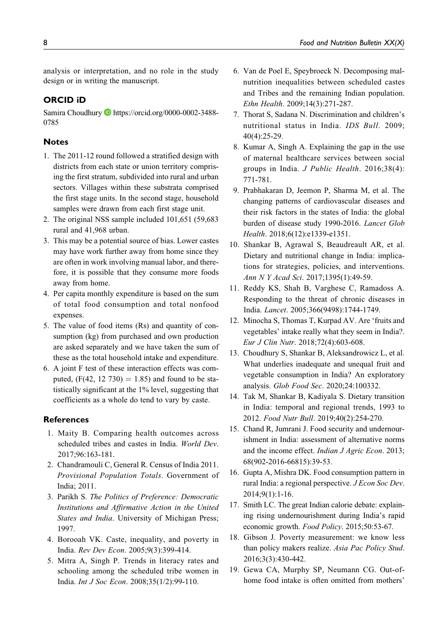analysis or interpretation, and no role in the study design or in writing the manuscript.

#### **ORCID iD**

Samira Choudhury D[https://orcid.org/0000-0002-3488-](https://orcid.org/0000-0002-3488-0785) [0785](https://orcid.org/0000-0002-3488-0785)

#### **Notes**

- 1. The 2011-12 round followed a stratified design with districts from each state or union territory comprising the first stratum, subdivided into rural and urban sectors. Villages within these substrata comprised the first stage units. In the second stage, household samples were drawn from each first stage unit.
- 2. The original NSS sample included 101,651 (59,683 rural and 41,968 urban.
- 3. This may be a potential source of bias. Lower castes may have work further away from home since they are often in work involving manual labor, and therefore, it is possible that they consume more foods away from home.
- 4. Per capita monthly expenditure is based on the sum of total food consumption and total nonfood expenses.
- 5. The value of food items (Rs) and quantity of consumption (kg) from purchased and own production are asked separately and we have taken the sum of these as the total household intake and expenditure.
- 6. A joint F test of these interaction effects was computed,  $(F(42, 12, 730) = 1.85)$  and found to be statistically significant at the 1% level, suggesting that coefficients as a whole do tend to vary by caste.

#### **References**

- 1. Maity B. Comparing health outcomes across scheduled tribes and castes in India. World Dev. 2017;96:163-181.
- 2. Chandramouli C, General R. Census of India 2011. Provisional Population Totals. Government of India; 2011.
- 3. Parikh S. The Politics of Preference: Democratic Institutions and Affirmative Action in the United States and India. University of Michigan Press; 1997.
- 4. Borooah VK. Caste, inequality, and poverty in India. Rev Dev Econ. 2005;9(3):399-414.
- 5. Mitra A, Singh P. Trends in literacy rates and schooling among the scheduled tribe women in India. Int J Soc Econ. 2008;35(1/2):99-110.
- 6. Van de Poel E, Speybroeck N. Decomposing malnutrition inequalities between scheduled castes and Tribes and the remaining Indian population. Ethn Health. 2009;14(3):271-287.
- 7. Thorat S, Sadana N. Discrimination and children's nutritional status in India. IDS Bull. 2009; 40(4):25-29.
- 8. Kumar A, Singh A. Explaining the gap in the use of maternal healthcare services between social groups in India. J Public Health. 2016;38(4): 771-781.
- 9. Prabhakaran D, Jeemon P, Sharma M, et al. The changing patterns of cardiovascular diseases and their risk factors in the states of India: the global burden of disease study 1990-2016. Lancet Glob Health. 2018;6(12):e1339-e1351.
- 10. Shankar B, Agrawal S, Beaudreault AR, et al. Dietary and nutritional change in India: implications for strategies, policies, and interventions. Ann N Y Acad Sci. 2017;1395(1):49-59.
- 11. Reddy KS, Shah B, Varghese C, Ramadoss A. Responding to the threat of chronic diseases in India. Lancet. 2005;366(9498):1744-1749.
- 12. Minocha S, Thomas T, Kurpad AV. Are 'fruits and vegetables' intake really what they seem in India?. Eur J Clin Nutr. 2018;72(4):603-608.
- 13. Choudhury S, Shankar B, Aleksandrowicz L, et al. What underlies inadequate and unequal fruit and vegetable consumption in India? An exploratory analysis. Glob Food Sec. 2020;24:100332.
- 14. Tak M, Shankar B, Kadiyala S. Dietary transition in India: temporal and regional trends, 1993 to 2012. Food Nutr Bull. 2019;40(2):254-270.
- 15. Chand R, Jumrani J. Food security and undernourishment in India: assessment of alternative norms and the income effect. Indian J Agric Econ. 2013; 68(902-2016-66815):39-53.
- 16. Gupta A, Mishra DK. Food consumption pattern in rural India: a regional perspective. J Econ Soc Dev. 2014;9(1):1-16.
- 17. Smith LC. The great Indian calorie debate: explaining rising undernourishment during India's rapid economic growth. Food Policy. 2015;50:53-67.
- 18. Gibson J. Poverty measurement: we know less than policy makers realize. Asia Pac Policy Stud. 2016;3(3):430-442.
- 19. Gewa CA, Murphy SP, Neumann CG. Out-ofhome food intake is often omitted from mothers'